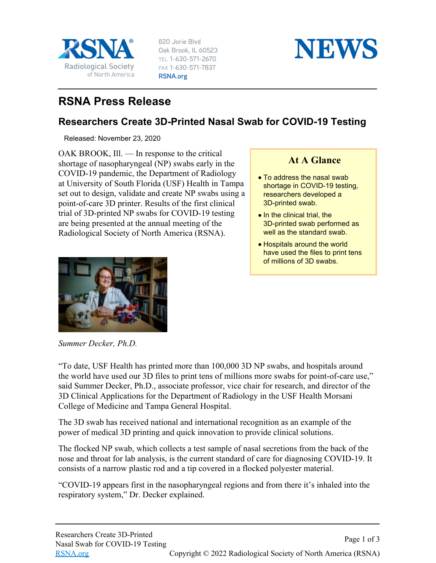

820 Jorie Blvd Oak Brook, IL 60523 TEL 1-630-571-2670 FAX 1-630-571-7837 RSNA.org



## **RSNA Press Release**

## **Researchers Create 3D-Printed Nasal Swab for COVID-19 Testing**

Released: November 23, 2020

OAK BROOK, Ill. — In response to the critical shortage of nasopharyngeal (NP) swabs early in the COVID-19 pandemic, the Department of Radiology at University of South Florida (USF) Health in Tampa set out to design, validate and create NP swabs using a point-of-care 3D printer. Results of the first clinical trial of 3D-printed NP swabs for COVID-19 testing are being presented at the annual meeting of the Radiological Society of North America (RSNA).



## **At A Glance**

- To address the nasal swab shortage in COVID-19 testing, researchers developed a 3D-printed swab.
- $\bullet$  In the clinical trial, the 3D-printed swab performed as well as the standard swab.
- Hospitals around the world have used the files to print tens of millions of 3D swabs.

*Summer Decker, Ph.D.*

"To date, USF Health has printed more than 100,000 3D NP swabs, and hospitals around the world have used our 3D files to print tens of millions more swabs for point-of-care use," said Summer Decker, Ph.D., associate professor, vice chair for research, and director of the 3D Clinical Applications for the Department of Radiology in the USF Health Morsani College of Medicine and Tampa General Hospital.

The 3D swab has received national and international recognition as an example of the power of medical 3D printing and quick innovation to provide clinical solutions.

The flocked NP swab, which collects a test sample of nasal secretions from the back of the nose and throat for lab analysis, is the current standard of care for diagnosing COVID-19. It consists of a narrow plastic rod and a tip covered in a flocked polyester material.

"COVID-19 appears first in the nasopharyngeal regions and from there it's inhaled into the respiratory system," Dr. Decker explained.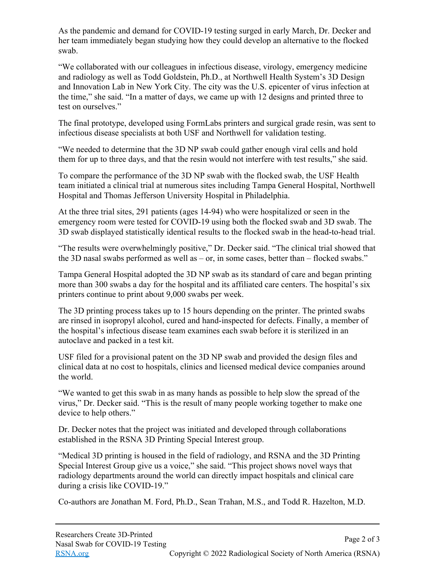As the pandemic and demand for COVID-19 testing surged in early March, Dr. Decker and her team immediately began studying how they could develop an alternative to the flocked swab.

"We collaborated with our colleagues in infectious disease, virology, emergency medicine and radiology as well as Todd Goldstein, Ph.D., at Northwell Health System's 3D Design and Innovation Lab in New York City. The city was the U.S. epicenter of virus infection at the time," she said. "In a matter of days, we came up with 12 designs and printed three to test on ourselves."

The final prototype, developed using FormLabs printers and surgical grade resin, was sent to infectious disease specialists at both USF and Northwell for validation testing.

"We needed to determine that the 3D NP swab could gather enough viral cells and hold them for up to three days, and that the resin would not interfere with test results," she said.

To compare the performance of the 3D NP swab with the flocked swab, the USF Health team initiated a clinical trial at numerous sites including Tampa General Hospital, Northwell Hospital and Thomas Jefferson University Hospital in Philadelphia.

At the three trial sites, 291 patients (ages 14-94) who were hospitalized or seen in the emergency room were tested for COVID-19 using both the flocked swab and 3D swab. The 3D swab displayed statistically identical results to the flocked swab in the head-to-head trial.

"The results were overwhelmingly positive," Dr. Decker said. "The clinical trial showed that the 3D nasal swabs performed as well as  $-$  or, in some cases, better than  $-$  flocked swabs."

Tampa General Hospital adopted the 3D NP swab as its standard of care and began printing more than 300 swabs a day for the hospital and its affiliated care centers. The hospital's six printers continue to print about 9,000 swabs per week.

The 3D printing process takes up to 15 hours depending on the printer. The printed swabs are rinsed in isopropyl alcohol, cured and hand-inspected for defects. Finally, a member of the hospital's infectious disease team examines each swab before it is sterilized in an autoclave and packed in a test kit.

USF filed for a provisional patent on the 3D NP swab and provided the design files and clinical data at no cost to hospitals, clinics and licensed medical device companies around the world.

"We wanted to get this swab in as many hands as possible to help slow the spread of the virus," Dr. Decker said. "This is the result of many people working together to make one device to help others."

Dr. Decker notes that the project was initiated and developed through collaborations established in the RSNA 3D Printing Special Interest group.

"Medical 3D printing is housed in the field of radiology, and RSNA and the 3D Printing Special Interest Group give us a voice," she said. "This project shows novel ways that radiology departments around the world can directly impact hospitals and clinical care during a crisis like COVID-19."

Co-authors are Jonathan M. Ford, Ph.D., Sean Trahan, M.S., and Todd R. Hazelton, M.D.